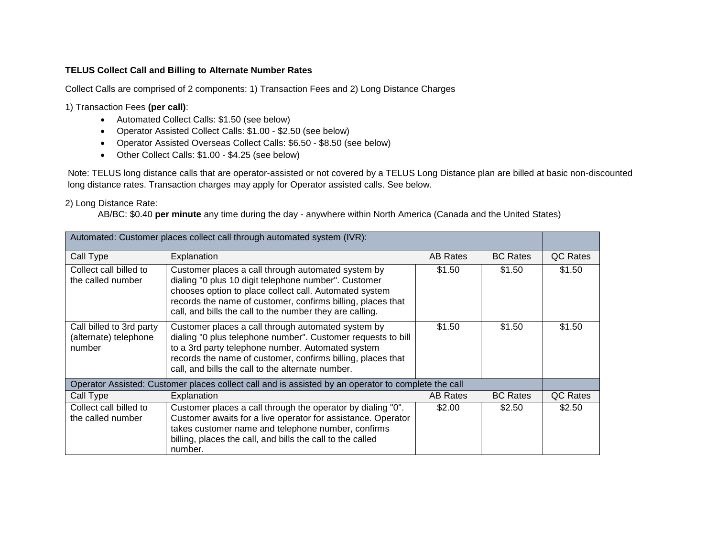## **TELUS Collect Call and Billing to Alternate Number Rates**

Collect Calls are comprised of 2 components: 1) Transaction Fees and 2) Long Distance Charges

1) Transaction Fees **(per call)**:

- Automated Collect Calls: \$1.50 (see below)
- Operator Assisted Collect Calls: \$1.00 \$2.50 (see below)
- Operator Assisted Overseas Collect Calls: \$6.50 \$8.50 (see below)
- Other Collect Calls: \$1.00 \$4.25 (see below)

Note: TELUS long distance calls that are operator-assisted or not covered by a TELUS Long Distance plan are billed at basic non-discounted long distance rates. Transaction charges may apply for Operator assisted calls. See below.

## 2) Long Distance Rate:

AB/BC: \$0.40 **per minute** any time during the day - anywhere within North America (Canada and the United States)

| Automated: Customer places collect call through automated system (IVR):                             |                                                                                                                                                                                                                                                                                                 |                 |                 |          |
|-----------------------------------------------------------------------------------------------------|-------------------------------------------------------------------------------------------------------------------------------------------------------------------------------------------------------------------------------------------------------------------------------------------------|-----------------|-----------------|----------|
| Call Type                                                                                           | Explanation                                                                                                                                                                                                                                                                                     | AB Rates        | <b>BC Rates</b> | QC Rates |
| Collect call billed to<br>the called number                                                         | Customer places a call through automated system by<br>dialing "0 plus 10 digit telephone number". Customer<br>chooses option to place collect call. Automated system<br>records the name of customer, confirms billing, places that<br>call, and bills the call to the number they are calling. | \$1.50          | \$1.50          | \$1.50   |
| Call billed to 3rd party<br>(alternate) telephone<br>number                                         | Customer places a call through automated system by<br>dialing "0 plus telephone number". Customer requests to bill<br>to a 3rd party telephone number. Automated system<br>records the name of customer, confirms billing, places that<br>call, and bills the call to the alternate number.     | \$1.50          | \$1.50          | \$1.50   |
| Operator Assisted: Customer places collect call and is assisted by an operator to complete the call |                                                                                                                                                                                                                                                                                                 |                 |                 |          |
| Call Type                                                                                           | Explanation                                                                                                                                                                                                                                                                                     | <b>AB Rates</b> | <b>BC Rates</b> | QC Rates |
| Collect call billed to<br>the called number                                                         | Customer places a call through the operator by dialing "0".<br>Customer awaits for a live operator for assistance. Operator<br>takes customer name and telephone number, confirms<br>billing, places the call, and bills the call to the called<br>number.                                      | \$2.00          | \$2.50          | \$2.50   |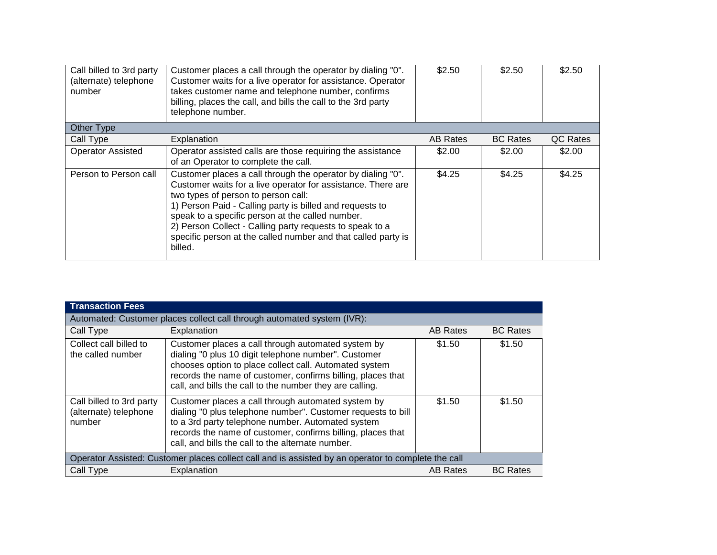| Call billed to 3rd party<br>(alternate) telephone<br>number | Customer places a call through the operator by dialing "0".<br>Customer waits for a live operator for assistance. Operator<br>takes customer name and telephone number, confirms<br>billing, places the call, and bills the call to the 3rd party<br>telephone number.                                                                                                                                                     | \$2.50   | \$2.50          | \$2.50   |
|-------------------------------------------------------------|----------------------------------------------------------------------------------------------------------------------------------------------------------------------------------------------------------------------------------------------------------------------------------------------------------------------------------------------------------------------------------------------------------------------------|----------|-----------------|----------|
| Other Type                                                  |                                                                                                                                                                                                                                                                                                                                                                                                                            |          |                 |          |
| Call Type                                                   | Explanation                                                                                                                                                                                                                                                                                                                                                                                                                | AB Rates | <b>BC Rates</b> | QC Rates |
| <b>Operator Assisted</b>                                    | Operator assisted calls are those requiring the assistance<br>of an Operator to complete the call.                                                                                                                                                                                                                                                                                                                         | \$2.00   | \$2.00          | \$2.00   |
| Person to Person call                                       | Customer places a call through the operator by dialing "0".<br>Customer waits for a live operator for assistance. There are<br>two types of person to person call:<br>1) Person Paid - Calling party is billed and requests to<br>speak to a specific person at the called number.<br>2) Person Collect - Calling party requests to speak to a<br>specific person at the called number and that called party is<br>billed. | \$4.25   | \$4.25          | \$4.25   |

| <b>Transaction Fees</b>                                                                             |                                                                                                                                                                                                                                                                                                 |                 |                 |
|-----------------------------------------------------------------------------------------------------|-------------------------------------------------------------------------------------------------------------------------------------------------------------------------------------------------------------------------------------------------------------------------------------------------|-----------------|-----------------|
| Automated: Customer places collect call through automated system (IVR):                             |                                                                                                                                                                                                                                                                                                 |                 |                 |
| Call Type                                                                                           | Explanation                                                                                                                                                                                                                                                                                     | <b>AB Rates</b> | <b>BC Rates</b> |
| Collect call billed to<br>the called number                                                         | Customer places a call through automated system by<br>dialing "0 plus 10 digit telephone number". Customer<br>chooses option to place collect call. Automated system<br>records the name of customer, confirms billing, places that<br>call, and bills the call to the number they are calling. | \$1.50          | \$1.50          |
| Call billed to 3rd party<br>(alternate) telephone<br>number                                         | Customer places a call through automated system by<br>dialing "0 plus telephone number". Customer requests to bill<br>to a 3rd party telephone number. Automated system<br>records the name of customer, confirms billing, places that<br>call, and bills the call to the alternate number.     | \$1.50          | \$1.50          |
| Operator Assisted: Customer places collect call and is assisted by an operator to complete the call |                                                                                                                                                                                                                                                                                                 |                 |                 |
| Call Type                                                                                           | Explanation                                                                                                                                                                                                                                                                                     | <b>AB Rates</b> | <b>BC Rates</b> |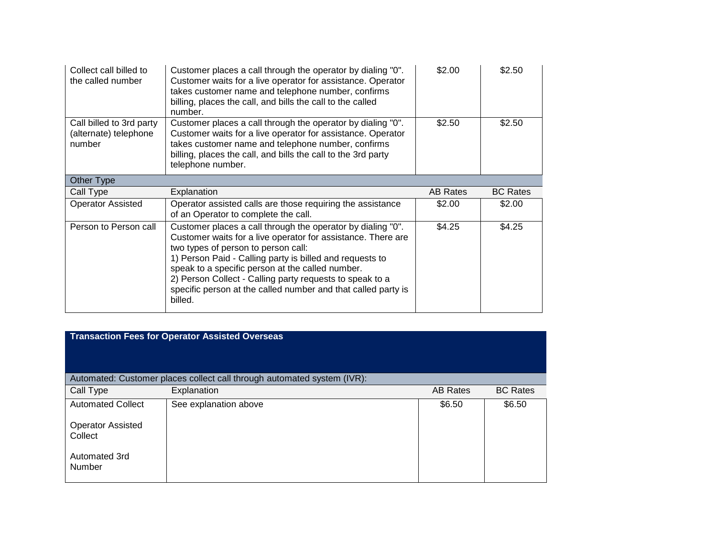| Collect call billed to<br>the called number                 | Customer places a call through the operator by dialing "0".<br>Customer waits for a live operator for assistance. Operator<br>takes customer name and telephone number, confirms<br>billing, places the call, and bills the call to the called<br>number.              | \$2.00          | \$2.50          |
|-------------------------------------------------------------|------------------------------------------------------------------------------------------------------------------------------------------------------------------------------------------------------------------------------------------------------------------------|-----------------|-----------------|
| Call billed to 3rd party<br>(alternate) telephone<br>number | Customer places a call through the operator by dialing "0".<br>Customer waits for a live operator for assistance. Operator<br>takes customer name and telephone number, confirms<br>billing, places the call, and bills the call to the 3rd party<br>telephone number. | \$2.50          | \$2.50          |
| Other Type                                                  |                                                                                                                                                                                                                                                                        |                 |                 |
| Call Type                                                   | Explanation                                                                                                                                                                                                                                                            | <b>AB Rates</b> | <b>BC Rates</b> |
| <b>Operator Assisted</b>                                    | Operator assisted calls are those requiring the assistance<br>of an Operator to complete the call.                                                                                                                                                                     | \$2.00          | \$2.00          |
| Person to Person call                                       | Customer places a call through the operator by dialing "0".<br>Customer waits for a live operator for assistance. There are<br>two types of person to person call:<br>1) Person Paid - Calling party is billed and requests to                                         | \$4.25          | \$4.25          |

|                                     | <b>Transaction Fees for Operator Assisted Overseas</b>                  |                 |                 |
|-------------------------------------|-------------------------------------------------------------------------|-----------------|-----------------|
|                                     | Automated: Customer places collect call through automated system (IVR): |                 |                 |
| Call Type                           | Explanation                                                             | <b>AB Rates</b> | <b>BC Rates</b> |
| <b>Automated Collect</b>            | See explanation above                                                   | \$6.50          | \$6.50          |
| <b>Operator Assisted</b><br>Collect |                                                                         |                 |                 |
| Automated 3rd<br>Number             |                                                                         |                 |                 |